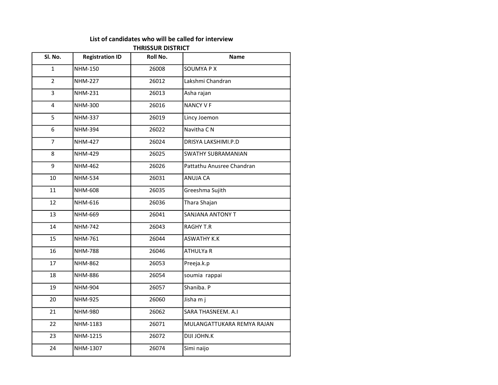## List of candidates who will be called for interview

## THRISSUR DISTRICT

| Sl. No.        | <b>Registration ID</b> | Roll No. | <b>Name</b>                |
|----------------|------------------------|----------|----------------------------|
| $\mathbf{1}$   | NHM-150                | 26008    | <b>SOUMYA P X</b>          |
| $\overline{2}$ | <b>NHM-227</b>         | 26012    | Lakshmi Chandran           |
| 3              | <b>NHM-231</b>         | 26013    | Asha rajan                 |
| 4              | NHM-300                | 26016    | <b>NANCY VF</b>            |
| 5              | <b>NHM-337</b>         | 26019    | Lincy Joemon               |
| 6              | <b>NHM-394</b>         | 26022    | Navitha C N                |
| $\overline{7}$ | <b>NHM-427</b>         | 26024    | DRISYA LAKSHIMI.P.D        |
| 8              | <b>NHM-429</b>         | 26025    | <b>SWATHY SUBRAMANIAN</b>  |
| 9              | <b>NHM-462</b>         | 26026    | Pattathu Anusree Chandran  |
| 10             | <b>NHM-534</b>         | 26031    | ANUJA CA                   |
| 11             | <b>NHM-608</b>         | 26035    | Greeshma Sujith            |
| 12             | NHM-616                | 26036    | Thara Shajan               |
| 13             | NHM-669                | 26041    | <b>SANJANA ANTONY T</b>    |
| 14             | <b>NHM-742</b>         | 26043    | <b>RAGHY T.R</b>           |
| 15             | <b>NHM-761</b>         | 26044    | <b>ASWATHY K.K</b>         |
| 16             | <b>NHM-788</b>         | 26046    | <b>ATHULYa R</b>           |
| 17             | <b>NHM-862</b>         | 26053    | Preeja.k.p                 |
| 18             | <b>NHM-886</b>         | 26054    | soumia rappai              |
| 19             | <b>NHM-904</b>         | 26057    | Shaniba. P                 |
| 20             | <b>NHM-925</b>         | 26060    | Jisha m j                  |
| 21             | NHM-980                | 26062    | SARA THASNEEM. A.I         |
| 22             | NHM-1183               | 26071    | MULANGATTUKARA REMYA RAJAN |
| 23             | NHM-1215               | 26072    | DIJI JOHN.K                |
| 24             | NHM-1307               | 26074    | Simi naijo                 |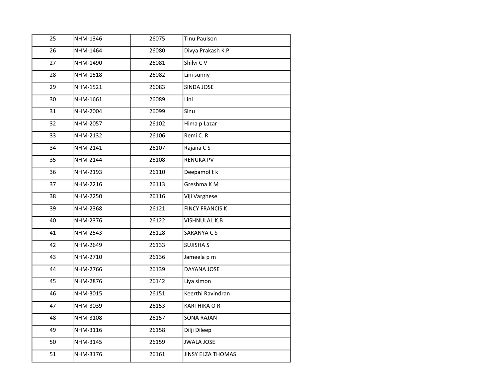| 25 | NHM-1346 | 26075 | <b>Tinu Paulson</b>    |
|----|----------|-------|------------------------|
| 26 | NHM-1464 | 26080 | Divya Prakash K.P      |
| 27 | NHM-1490 | 26081 | Shilvi CV              |
| 28 | NHM-1518 | 26082 | Lini sunny             |
| 29 | NHM-1521 | 26083 | SINDA JOSE             |
| 30 | NHM-1661 | 26089 | Lini                   |
| 31 | NHM-2004 | 26099 | Sinu                   |
| 32 | NHM-2057 | 26102 | Hima p Lazar           |
| 33 | NHM-2132 | 26106 | Remi C. R              |
| 34 | NHM-2141 | 26107 | Rajana CS              |
| 35 | NHM-2144 | 26108 | <b>RENUKA PV</b>       |
| 36 | NHM-2193 | 26110 | Deepamol t k           |
| 37 | NHM-2216 | 26113 | Greshma K M            |
| 38 | NHM-2250 | 26116 | Viji Varghese          |
| 39 | NHM-2368 | 26121 | <b>FINCY FRANCIS K</b> |
| 40 | NHM-2376 | 26122 | VISHNULAL.K.B          |
| 41 | NHM-2543 | 26128 | SARANYA C S            |
| 42 | NHM-2649 | 26133 | <b>SUJISHA S</b>       |
| 43 | NHM-2710 | 26136 | Jameela p m            |
| 44 | NHM-2766 | 26139 | DAYANA JOSE            |
| 45 | NHM-2876 | 26142 | Liya simon             |
| 46 | NHM-3015 | 26151 | Keerthi Ravindran      |
| 47 | NHM-3039 | 26153 | <b>KARTHIKA O R</b>    |
| 48 | NHM-3108 | 26157 | <b>SONA RAJAN</b>      |
| 49 | NHM-3116 | 26158 | Dilji Dileep           |
| 50 | NHM-3145 | 26159 | <b>JWALA JOSE</b>      |
| 51 | NHM-3176 | 26161 | JINSY ELZA THOMAS      |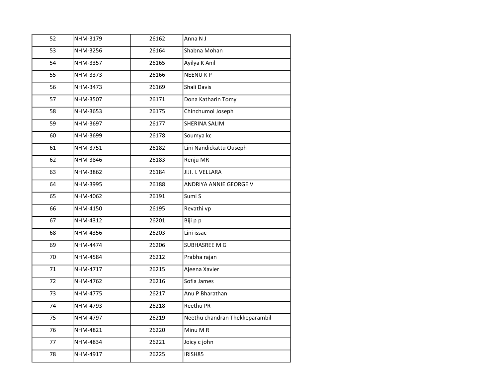| 52 | NHM-3179 | 26162 | Anna N J                       |
|----|----------|-------|--------------------------------|
| 53 | NHM-3256 | 26164 | Shabna Mohan                   |
| 54 | NHM-3357 | 26165 | Ayilya K Anil                  |
| 55 | NHM-3373 | 26166 | <b>NEENUKP</b>                 |
| 56 | NHM-3473 | 26169 | Shali Davis                    |
| 57 | NHM-3507 | 26171 | Dona Katharin Tomy             |
| 58 | NHM-3653 | 26175 | Chinchumol Joseph              |
| 59 | NHM-3697 | 26177 | SHERINA SALIM                  |
| 60 | NHM-3699 | 26178 | Soumya kc                      |
| 61 | NHM-3751 | 26182 | Lini Nandickattu Ouseph        |
| 62 | NHM-3846 | 26183 | Renju MR                       |
| 63 | NHM-3862 | 26184 | JIJI. I. VELLARA               |
| 64 | NHM-3995 | 26188 | ANDRIYA ANNIE GEORGE V         |
| 65 | NHM-4062 | 26191 | Sumi S                         |
| 66 | NHM-4150 | 26195 | Revathi vp                     |
| 67 | NHM-4312 | 26201 | Biji p p                       |
| 68 | NHM-4356 | 26203 | Lini issac                     |
| 69 | NHM-4474 | 26206 | SUBHASREE M G                  |
| 70 | NHM-4584 | 26212 | Prabha rajan                   |
| 71 | NHM-4717 | 26215 | Ajeena Xavier                  |
| 72 | NHM-4762 | 26216 | Sofia James                    |
| 73 | NHM-4775 | 26217 | Anu P Bharathan                |
| 74 | NHM-4793 | 26218 | Reethu PR                      |
| 75 | NHM-4797 | 26219 | Neethu chandran Thekkeparambil |
| 76 | NHM-4821 | 26220 | Minu M R                       |
| 77 | NHM-4834 | 26221 | Joicy c john                   |
| 78 | NHM-4917 | 26225 | IRISH85                        |
|    |          |       |                                |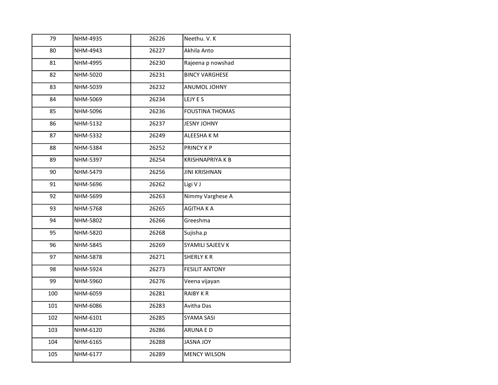| 79  | NHM-4935        | 26226 | Neethu. V. K            |
|-----|-----------------|-------|-------------------------|
| 80  | NHM-4943        | 26227 | Akhila Anto             |
| 81  | NHM-4995        | 26230 | Rajeena p nowshad       |
| 82  | NHM-5020        | 26231 | <b>BINCY VARGHESE</b>   |
| 83  | NHM-5039        | 26232 | ANUMOL JOHNY            |
| 84  | NHM-5069        | 26234 | LEJY E S                |
| 85  | NHM-5096        | 26236 | <b>FOUSTINA THOMAS</b>  |
| 86  | NHM-5132        | 26237 | <b>JESNY JOHNY</b>      |
| 87  | NHM-5332        | 26249 | ALEESHA K M             |
| 88  | NHM-5384        | 26252 | PRINCY K P              |
| 89  | NHM-5397        | 26254 | <b>KRISHNAPRIYA K B</b> |
| 90  | NHM-5479        | 26256 | <b>JINI KRISHNAN</b>    |
| 91  | NHM-5696        | 26262 | Ligi V J                |
| 92  | NHM-5699        | 26263 | Nimmy Varghese A        |
| 93  | NHM-5768        | 26265 | <b>AGITHAKA</b>         |
| 94  | NHM-5802        | 26266 | Greeshma                |
| 95  | NHM-5820        | 26268 | Sujisha.p               |
| 96  | NHM-5845        | 26269 | SYAMILI SAJEEV K        |
| 97  | <b>NHM-5878</b> | 26271 | <b>SHERLY KR</b>        |
| 98  | NHM-5924        | 26273 | <b>FESILIT ANTONY</b>   |
| 99  | NHM-5960        | 26276 | Veena vijayan           |
| 100 | NHM-6059        | 26281 | RAIBY KR                |
| 101 | NHM-6086        | 26283 | Avitha Das              |
| 102 | NHM-6101        | 26285 | SYAMA SASI              |
| 103 | NHM-6120        | 26286 | ARUNA E D               |
| 104 | NHM-6165        | 26288 | <b>JASNA JOY</b>        |
| 105 | NHM-6177        | 26289 | <b>MENCY WILSON</b>     |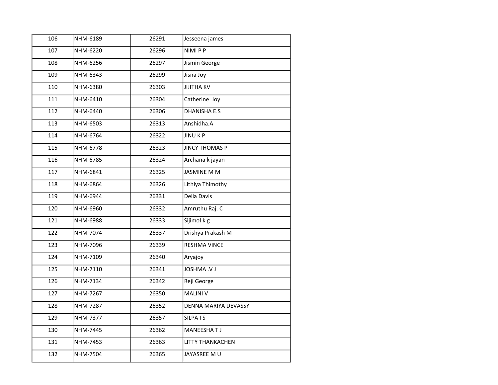| 106 | NHM-6189 | 26291 | Jesseena james        |
|-----|----------|-------|-----------------------|
| 107 | NHM-6220 | 26296 | NIMI P P              |
| 108 | NHM-6256 | 26297 | Jismin George         |
| 109 | NHM-6343 | 26299 | Jisna Joy             |
| 110 | NHM-6380 | 26303 | <b>JIJITHA KV</b>     |
| 111 | NHM-6410 | 26304 | Catherine Joy         |
| 112 | NHM-6440 | 26306 | <b>DHANISHA E.S</b>   |
| 113 | NHM-6503 | 26313 | Anshidha.A            |
| 114 | NHM-6764 | 26322 | <b>JINUKP</b>         |
| 115 | NHM-6778 | 26323 | <b>JINCY THOMAS P</b> |
| 116 | NHM-6785 | 26324 | Archana k jayan       |
| 117 | NHM-6841 | 26325 | <b>JASMINE M M</b>    |
| 118 | NHM-6864 | 26326 | Lithiya Thimothy      |
| 119 | NHM-6944 | 26331 | Della Davis           |
| 120 | NHM-6960 | 26332 | Amruthu Raj. C        |
| 121 | NHM-6988 | 26333 | Sijimol k g           |
| 122 | NHM-7074 | 26337 | Drishya Prakash M     |
| 123 | NHM-7096 | 26339 | <b>RESHMA VINCE</b>   |
| 124 | NHM-7109 | 26340 | Aryajoy               |
| 125 | NHM-7110 | 26341 | <b>LV. AMHZOL</b>     |
| 126 | NHM-7134 | 26342 | Reji George           |
| 127 | NHM-7267 | 26350 | <b>MALINI V</b>       |
| 128 | NHM-7287 | 26352 | DENNA MARIYA DEVASSY  |
| 129 | NHM-7377 | 26357 | SILPA I S             |
| 130 | NHM-7445 | 26362 | MANEESHAT J           |
| 131 | NHM-7453 | 26363 | LITTY THANKACHEN      |
| 132 | NHM-7504 | 26365 | JAYASREE M U          |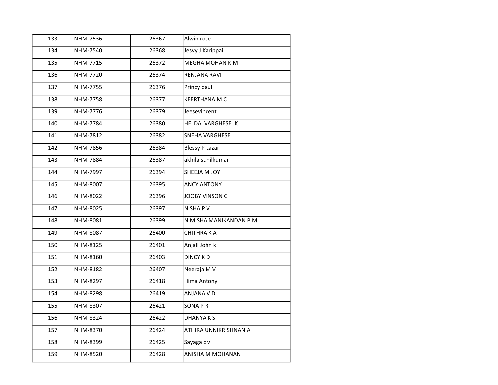| 133 | NHM-7536 | 26367 | Alwin rose             |
|-----|----------|-------|------------------------|
| 134 | NHM-7540 | 26368 | Jesvy J Karippai       |
| 135 | NHM-7715 | 26372 | MEGHA MOHAN K M        |
| 136 | NHM-7720 | 26374 | RENJANA RAVI           |
| 137 | NHM-7755 | 26376 | Princy paul            |
| 138 | NHM-7758 | 26377 | <b>KEERTHANA M C</b>   |
| 139 | NHM-7776 | 26379 | Jeesevincent           |
| 140 | NHM-7784 | 26380 | HELDA VARGHESE.K       |
| 141 | NHM-7812 | 26382 | <b>SNEHA VARGHESE</b>  |
| 142 | NHM-7856 | 26384 | <b>Blessy P Lazar</b>  |
| 143 | NHM-7884 | 26387 | akhila sunilkumar      |
| 144 | NHM-7997 | 26394 | SHEEJA M JOY           |
| 145 | NHM-8007 | 26395 | <b>ANCY ANTONY</b>     |
| 146 | NHM-8022 | 26396 | JOOBY VINSON C         |
| 147 | NHM-8025 | 26397 | <b>NISHAPV</b>         |
| 148 | NHM-8081 | 26399 | NIMISHA MANIKANDAN P M |
| 149 | NHM-8087 | 26400 | <b>CHITHRAKA</b>       |
| 150 | NHM-8125 | 26401 | Anjali John k          |
| 151 | NHM-8160 | 26403 | <b>DINCY KD</b>        |
| 152 | NHM-8182 | 26407 | Neeraja M V            |
| 153 | NHM-8297 | 26418 | Hima Antony            |
| 154 | NHM-8298 | 26419 | ANJANA V D             |
| 155 | NHM-8307 | 26421 | <b>SONAPR</b>          |
| 156 | NHM-8324 | 26422 | <b>DHANYAKS</b>        |
| 157 | NHM-8370 | 26424 | ATHIRA UNNIKRISHNAN A  |
| 158 | NHM-8399 | 26425 | Sayaga c v             |
| 159 | NHM-8520 | 26428 | ANISHA M MOHANAN       |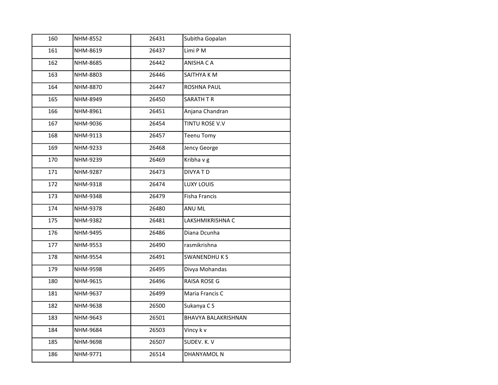| 160 | NHM-8552 | 26431 | Subitha Gopalan            |
|-----|----------|-------|----------------------------|
| 161 | NHM-8619 | 26437 | Limi P M                   |
| 162 | NHM-8685 | 26442 | ANISHA C A                 |
| 163 | NHM-8803 | 26446 | SAITHYA K M                |
| 164 | NHM-8870 | 26447 | <b>ROSHNA PAUL</b>         |
| 165 | NHM-8949 | 26450 | SARATH TR                  |
| 166 | NHM-8961 | 26451 | Anjana Chandran            |
| 167 | NHM-9036 | 26454 | TINTU ROSE V.V             |
| 168 | NHM-9113 | 26457 | Teenu Tomy                 |
| 169 | NHM-9233 | 26468 | Jency George               |
| 170 | NHM-9239 | 26469 | Kribha v g                 |
| 171 | NHM-9287 | 26473 | <b>DIVYATD</b>             |
| 172 | NHM-9318 | 26474 | LUXY LOUIS                 |
| 173 | NHM-9348 | 26479 | <b>Fisha Francis</b>       |
| 174 | NHM-9378 | 26480 | <b>ANU ML</b>              |
| 175 | NHM-9382 | 26481 | LAKSHMIKRISHNA C           |
| 176 | NHM-9495 | 26486 | Diana Dcunha               |
| 177 | NHM-9553 | 26490 | rasmikrishna               |
| 178 | NHM-9554 | 26491 | <b>SWANENDHUKS</b>         |
| 179 | NHM-9598 | 26495 | Divya Mohandas             |
| 180 | NHM-9615 | 26496 | <b>RAISA ROSE G</b>        |
| 181 | NHM-9637 | 26499 | Maria Francis C            |
| 182 | NHM-9638 | 26500 | Sukanya CS                 |
| 183 | NHM-9643 | 26501 | <b>BHAVYA BALAKRISHNAN</b> |
| 184 | NHM-9684 | 26503 | Vincy k v                  |
| 185 | NHM-9698 | 26507 | SUDEV. K. V                |
| 186 | NHM-9771 | 26514 | DHANYAMOL N                |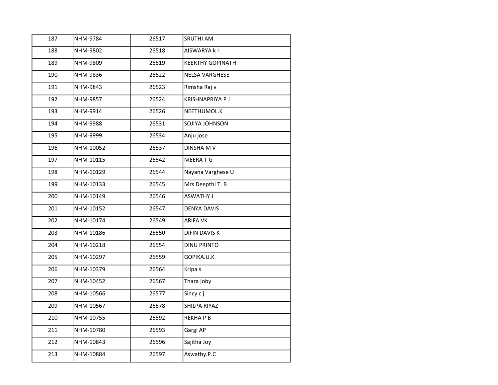| 26518<br>188<br>NHM-9802<br>AISWARYA k r<br>189<br>NHM-9809<br>26519<br><b>KEERTHY GOPINATH</b><br>190<br>NHM-9836<br>26522<br><b>NELSA VARGHESE</b><br>191<br>NHM-9843<br>26523<br>Rimsha Raj v<br>192<br>NHM-9857<br>26524<br><b>KRISHNAPRIYA PJ</b><br>193<br>NHM-9914<br>26526<br>NEETHUMOL.K<br>194<br>NHM-9988<br>26531<br><b>SOJIYA JOHNSON</b><br>195<br>NHM-9999<br>26534<br>Anju jose<br>196<br>NHM-10052<br>26537<br>DINSHA M V<br>197<br>NHM-10115<br>MEERA T G<br>26542<br>198<br>Nayana Varghese U<br>NHM-10129<br>26544<br>NHM-10133<br>Mrs Deepthi T. B<br>199<br>26545<br><b>ASWATHY J</b><br>200<br>NHM-10149<br>26546<br>201<br>NHM-10152<br>26547<br><b>DENYA DAVIS</b><br>202<br>NHM-10174<br>26549<br><b>ARIFA VK</b><br>203<br>NHM-10186<br>26550<br>DIFIN DAVIS K<br>204<br>NHM-10218<br><b>DINU PRINTO</b><br>26554<br>205<br>NHM-10297<br>26559<br>GOPIKA.U.K<br>206<br>NHM-10379<br>26564<br>Kripa s |
|---------------------------------------------------------------------------------------------------------------------------------------------------------------------------------------------------------------------------------------------------------------------------------------------------------------------------------------------------------------------------------------------------------------------------------------------------------------------------------------------------------------------------------------------------------------------------------------------------------------------------------------------------------------------------------------------------------------------------------------------------------------------------------------------------------------------------------------------------------------------------------------------------------------------------------|
|                                                                                                                                                                                                                                                                                                                                                                                                                                                                                                                                                                                                                                                                                                                                                                                                                                                                                                                                 |
|                                                                                                                                                                                                                                                                                                                                                                                                                                                                                                                                                                                                                                                                                                                                                                                                                                                                                                                                 |
|                                                                                                                                                                                                                                                                                                                                                                                                                                                                                                                                                                                                                                                                                                                                                                                                                                                                                                                                 |
|                                                                                                                                                                                                                                                                                                                                                                                                                                                                                                                                                                                                                                                                                                                                                                                                                                                                                                                                 |
|                                                                                                                                                                                                                                                                                                                                                                                                                                                                                                                                                                                                                                                                                                                                                                                                                                                                                                                                 |
|                                                                                                                                                                                                                                                                                                                                                                                                                                                                                                                                                                                                                                                                                                                                                                                                                                                                                                                                 |
|                                                                                                                                                                                                                                                                                                                                                                                                                                                                                                                                                                                                                                                                                                                                                                                                                                                                                                                                 |
|                                                                                                                                                                                                                                                                                                                                                                                                                                                                                                                                                                                                                                                                                                                                                                                                                                                                                                                                 |
|                                                                                                                                                                                                                                                                                                                                                                                                                                                                                                                                                                                                                                                                                                                                                                                                                                                                                                                                 |
|                                                                                                                                                                                                                                                                                                                                                                                                                                                                                                                                                                                                                                                                                                                                                                                                                                                                                                                                 |
|                                                                                                                                                                                                                                                                                                                                                                                                                                                                                                                                                                                                                                                                                                                                                                                                                                                                                                                                 |
|                                                                                                                                                                                                                                                                                                                                                                                                                                                                                                                                                                                                                                                                                                                                                                                                                                                                                                                                 |
|                                                                                                                                                                                                                                                                                                                                                                                                                                                                                                                                                                                                                                                                                                                                                                                                                                                                                                                                 |
|                                                                                                                                                                                                                                                                                                                                                                                                                                                                                                                                                                                                                                                                                                                                                                                                                                                                                                                                 |
|                                                                                                                                                                                                                                                                                                                                                                                                                                                                                                                                                                                                                                                                                                                                                                                                                                                                                                                                 |
|                                                                                                                                                                                                                                                                                                                                                                                                                                                                                                                                                                                                                                                                                                                                                                                                                                                                                                                                 |
|                                                                                                                                                                                                                                                                                                                                                                                                                                                                                                                                                                                                                                                                                                                                                                                                                                                                                                                                 |
|                                                                                                                                                                                                                                                                                                                                                                                                                                                                                                                                                                                                                                                                                                                                                                                                                                                                                                                                 |
|                                                                                                                                                                                                                                                                                                                                                                                                                                                                                                                                                                                                                                                                                                                                                                                                                                                                                                                                 |
| 207<br>NHM-10452<br>26567<br>Thara joby                                                                                                                                                                                                                                                                                                                                                                                                                                                                                                                                                                                                                                                                                                                                                                                                                                                                                         |
| 208<br>NHM-10566<br>26577<br>Sincy c j                                                                                                                                                                                                                                                                                                                                                                                                                                                                                                                                                                                                                                                                                                                                                                                                                                                                                          |
| 209<br>NHM-10567<br>SHILPA RIYAZ<br>26578                                                                                                                                                                                                                                                                                                                                                                                                                                                                                                                                                                                                                                                                                                                                                                                                                                                                                       |
| 210<br>NHM-10755<br>26592<br><b>REKHAPB</b>                                                                                                                                                                                                                                                                                                                                                                                                                                                                                                                                                                                                                                                                                                                                                                                                                                                                                     |
| 211<br>NHM-10780<br>26593<br>Gargi AP                                                                                                                                                                                                                                                                                                                                                                                                                                                                                                                                                                                                                                                                                                                                                                                                                                                                                           |
| 212<br>NHM-10843<br>26596<br>Sajitha Joy                                                                                                                                                                                                                                                                                                                                                                                                                                                                                                                                                                                                                                                                                                                                                                                                                                                                                        |
| Aswathy.P.C<br>213<br>NHM-10884<br>26597                                                                                                                                                                                                                                                                                                                                                                                                                                                                                                                                                                                                                                                                                                                                                                                                                                                                                        |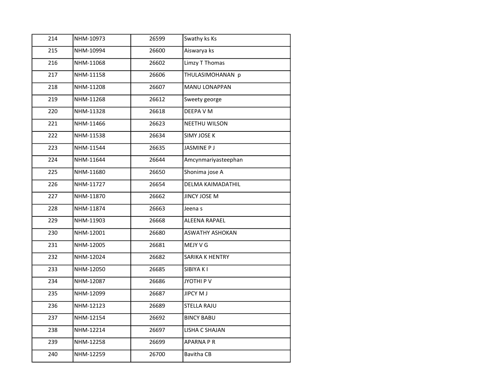| 214 | NHM-10973 | 26599 | Swathy ks Ks         |
|-----|-----------|-------|----------------------|
| 215 | NHM-10994 | 26600 | Aiswarya ks          |
| 216 | NHM-11068 | 26602 | Limzy T Thomas       |
| 217 | NHM-11158 | 26606 | THULASIMOHANAN p     |
| 218 | NHM-11208 | 26607 | <b>MANU LONAPPAN</b> |
| 219 | NHM-11268 | 26612 | Sweety george        |
| 220 | NHM-11328 | 26618 | DEEPA V M            |
| 221 | NHM-11466 | 26623 | NEETHU WILSON        |
| 222 | NHM-11538 | 26634 | SIMY JOSE K          |
| 223 | NHM-11544 | 26635 | JASMINE P J          |
| 224 | NHM-11644 | 26644 | Amcynmariyasteephan  |
| 225 | NHM-11680 | 26650 | Shonima jose A       |
| 226 | NHM-11727 | 26654 | DELMA KAIMADATHIL    |
| 227 | NHM-11870 | 26662 | JINCY JOSE M         |
| 228 | NHM-11874 | 26663 | Jeena s              |
| 229 | NHM-11903 | 26668 | ALEENA RAPAEL        |
| 230 | NHM-12001 | 26680 | ASWATHY ASHOKAN      |
| 231 | NHM-12005 | 26681 | MEJY V G             |
| 232 | NHM-12024 | 26682 | SARIKA K HENTRY      |
| 233 | NHM-12050 | 26685 | SIBIYA K I           |
| 234 | NHM-12087 | 26686 | JYOTHI P V           |
| 235 | NHM-12099 | 26687 | JIPCY M J            |
| 236 | NHM-12123 | 26689 | <b>STELLA RAJU</b>   |
| 237 | NHM-12154 | 26692 | <b>BINCY BABU</b>    |
| 238 | NHM-12214 | 26697 | LISHA C SHAJAN       |
| 239 | NHM-12258 | 26699 | APARNA PR            |
| 240 | NHM-12259 | 26700 | <b>Bavitha CB</b>    |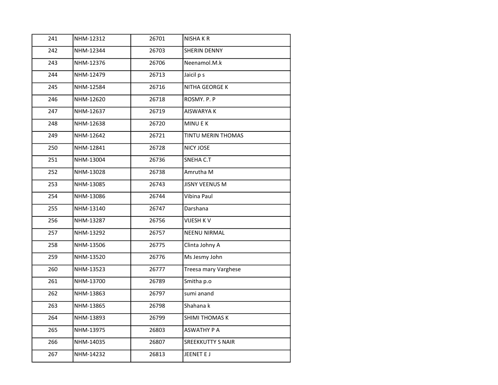| 241 | NHM-12312 | 26701 | <b>NISHAKR</b>           |
|-----|-----------|-------|--------------------------|
| 242 | NHM-12344 | 26703 | SHERIN DENNY             |
| 243 | NHM-12376 | 26706 | Neenamol.M.k             |
| 244 | NHM-12479 | 26713 | Jaicil p s               |
| 245 | NHM-12584 | 26716 | <b>NITHA GEORGE K</b>    |
| 246 | NHM-12620 | 26718 | ROSMY. P. P              |
| 247 | NHM-12637 | 26719 | <b>AISWARYA K</b>        |
| 248 | NHM-12638 | 26720 | <b>MINUEK</b>            |
| 249 | NHM-12642 | 26721 | TINTU MERIN THOMAS       |
| 250 | NHM-12841 | 26728 | NICY JOSE                |
| 251 | NHM-13004 | 26736 | SNEHA C.T                |
| 252 | NHM-13028 | 26738 | Amrutha M                |
| 253 | NHM-13085 | 26743 | <b>JISNY VEENUS M</b>    |
| 254 | NHM-13086 | 26744 | Vibina Paul              |
| 255 | NHM-13140 | 26747 | Darshana                 |
| 256 | NHM-13287 | 26756 | VIJESH K V               |
| 257 | NHM-13292 | 26757 | <b>NEENU NIRMAL</b>      |
| 258 | NHM-13506 | 26775 | Clinta Johny A           |
| 259 | NHM-13520 | 26776 | Ms Jesmy John            |
| 260 | NHM-13523 | 26777 | Treesa mary Varghese     |
| 261 | NHM-13700 | 26789 | Smitha p.o               |
| 262 | NHM-13863 | 26797 | sumi anand               |
| 263 | NHM-13865 | 26798 | Shahana k                |
| 264 | NHM-13893 | 26799 | <b>SHIMI THOMAS K</b>    |
| 265 | NHM-13975 | 26803 | <b>ASWATHY P A</b>       |
| 266 | NHM-14035 | 26807 | <b>SREEKKUTTY S NAIR</b> |
| 267 | NHM-14232 | 26813 | JEENET E J               |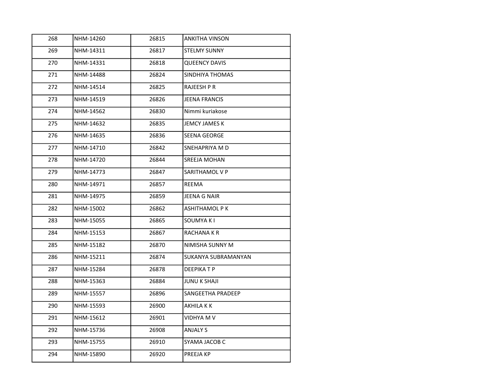| 268 | NHM-14260 | 26815 | <b>ANKITHA VINSON</b> |
|-----|-----------|-------|-----------------------|
| 269 | NHM-14311 | 26817 | <b>STELMY SUNNY</b>   |
| 270 | NHM-14331 | 26818 | <b>QUEENCY DAVIS</b>  |
| 271 | NHM-14488 | 26824 | SINDHIYA THOMAS       |
| 272 | NHM-14514 | 26825 | RAJEESH P R           |
| 273 | NHM-14519 | 26826 | JEENA FRANCIS         |
| 274 | NHM-14562 | 26830 | Nimmi kuriakose       |
| 275 | NHM-14632 | 26835 | <b>JEMCY JAMES K</b>  |
| 276 | NHM-14635 | 26836 | SEENA GEORGE          |
| 277 | NHM-14710 | 26842 | SNEHAPRIYA M D        |
| 278 | NHM-14720 | 26844 | SREEJA MOHAN          |
| 279 | NHM-14773 | 26847 | SARITHAMOL V P        |
| 280 | NHM-14971 | 26857 | REEMA                 |
| 281 | NHM-14975 | 26859 | JEENA G NAIR          |
| 282 | NHM-15002 | 26862 | ASHITHAMOL P K        |
| 283 | NHM-15055 | 26865 | SOUMYA K I            |
| 284 | NHM-15153 | 26867 | <b>RACHANAKR</b>      |
| 285 | NHM-15182 | 26870 | NIMISHA SUNNY M       |
| 286 | NHM-15211 | 26874 | SUKANYA SUBRAMANYAN   |
| 287 | NHM-15284 | 26878 | <b>DEEPIKATP</b>      |
| 288 | NHM-15363 | 26884 | <b>JUNU K SHAJI</b>   |
| 289 | NHM-15557 | 26896 | SANGEETHA PRADEEP     |
| 290 | NHM-15593 | 26900 | AKHILA K K            |
| 291 | NHM-15612 | 26901 | VIDHYA M V            |
| 292 | NHM-15736 | 26908 | <b>ANJALY S</b>       |
| 293 | NHM-15755 | 26910 | SYAMA JACOB C         |
| 294 | NHM-15890 | 26920 | PREEJA KP             |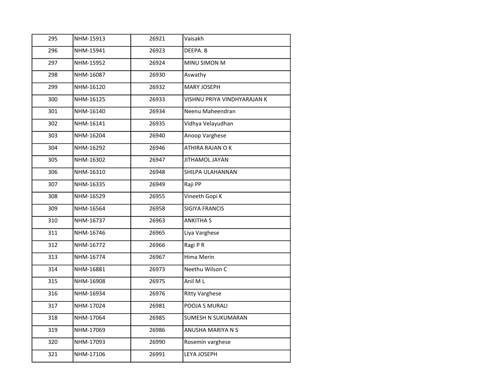| 295 | NHM-15913 | 26921 | Vaisakh                     |
|-----|-----------|-------|-----------------------------|
| 296 | NHM-15941 | 26923 | DEEPA. B                    |
| 297 | NHM-15952 | 26924 | MINU SIMON M                |
| 298 | NHM-16087 | 26930 | Aswathy                     |
| 299 | NHM-16120 | 26932 | <b>MARY JOSEPH</b>          |
| 300 | NHM-16125 | 26933 | VISHNU PRIYA VINDHYARAJAN K |
| 301 | NHM-16140 | 26934 | Neenu Maheendran            |
| 302 | NHM-16141 | 26935 | Vidhya Velayudhan           |
| 303 | NHM-16204 | 26940 | Anoop Varghese              |
| 304 | NHM-16292 | 26946 | ATHIRA RAJAN O K            |
| 305 | NHM-16302 | 26947 | JITHAMOL JAYAN              |
| 306 | NHM-16310 | 26948 | SHILPA ULAHANNAN            |
| 307 | NHM-16335 | 26949 | Raji PP                     |
| 308 | NHM-16529 | 26955 | Vineeth Gopi K              |
| 309 | NHM-16564 | 26958 | <b>SIGIYA FRANCIS</b>       |
| 310 | NHM-16737 | 26963 | <b>ANKITHA S</b>            |
| 311 | NHM-16746 | 26965 | Liya Varghese               |
| 312 | NHM-16772 | 26966 | Ragi P R                    |
| 313 | NHM-16774 | 26967 | Hima Merin                  |
| 314 | NHM-16881 | 26973 | Neethu Wilson C             |
| 315 | NHM-16908 | 26975 | Anil M L                    |
| 316 | NHM-16934 | 26976 | <b>Ritty Varghese</b>       |
| 317 | NHM-17024 | 26981 | POOJA S MURALI              |
| 318 | NHM-17064 | 26985 | SUMESH N SUKUMARAN          |
| 319 | NHM-17069 | 26986 | ANUSHA MARIYA N S           |
| 320 | NHM-17093 | 26990 | Rosemin varghese            |
| 321 | NHM-17106 | 26991 | LEYA JOSEPH                 |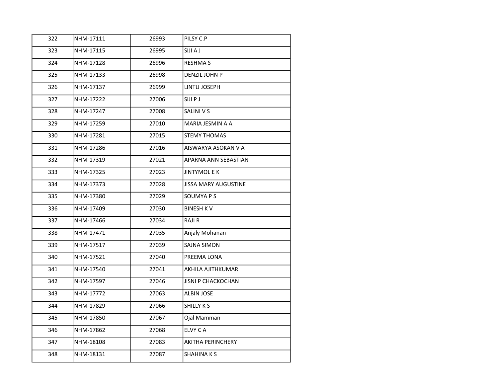| 322 | NHM-17111 | 26993 | PILSY C.P                   |
|-----|-----------|-------|-----------------------------|
| 323 | NHM-17115 | 26995 | <b>SIJI A J</b>             |
| 324 | NHM-17128 | 26996 | <b>RESHMA S</b>             |
| 325 | NHM-17133 | 26998 | DENZIL JOHN P               |
| 326 | NHM-17137 | 26999 | LINTU JOSEPH                |
| 327 | NHM-17222 | 27006 | SIJI P J                    |
| 328 | NHM-17247 | 27008 | SALINI V S                  |
| 329 | NHM-17259 | 27010 | MARIA JESMIN A A            |
| 330 | NHM-17281 | 27015 | STEMY THOMAS                |
| 331 | NHM-17286 | 27016 | AISWARYA ASOKAN V A         |
| 332 | NHM-17319 | 27021 | APARNA ANN SEBASTIAN        |
| 333 | NHM-17325 | 27023 | <b>JINTYMOL E K</b>         |
| 334 | NHM-17373 | 27028 | <b>JISSA MARY AUGUSTINE</b> |
| 335 | NHM-17380 | 27029 | SOUMYA P S                  |
| 336 | NHM-17409 | 27030 | <b>BINESH KV</b>            |
| 337 | NHM-17466 | 27034 | RAJI R                      |
| 338 | NHM-17471 | 27035 | Anjaly Mohanan              |
| 339 | NHM-17517 | 27039 | <b>SAJNA SIMON</b>          |
| 340 | NHM-17521 | 27040 | PREEMA LONA                 |
| 341 | NHM-17540 | 27041 | AKHILA AJITHKUMAR           |
| 342 | NHM-17597 | 27046 | <b>JISNI P CHACKOCHAN</b>   |
| 343 | NHM-17772 | 27063 | ALBIN JOSE                  |
| 344 | NHM-17829 | 27066 | SHILLY K S                  |
| 345 | NHM-17850 | 27067 | Ojal Mamman                 |
| 346 | NHM-17862 | 27068 | ELVY C A                    |
| 347 | NHM-18108 | 27083 | AKITHA PERINCHERY           |
| 348 | NHM-18131 | 27087 | SHAHINA K S                 |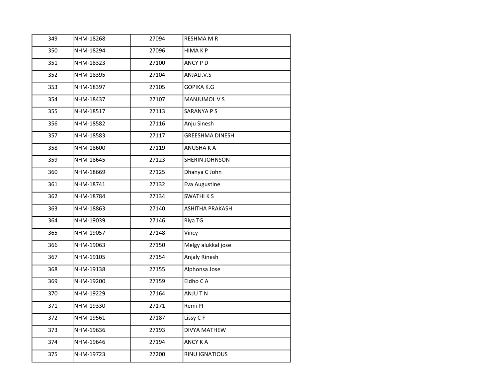| 349 | NHM-18268 | 27094 | <b>RESHMA M R</b>      |
|-----|-----------|-------|------------------------|
| 350 | NHM-18294 | 27096 | <b>HIMAKP</b>          |
| 351 | NHM-18323 | 27100 | ANCY PD                |
| 352 | NHM-18395 | 27104 | ANJALI.V.S             |
| 353 | NHM-18397 | 27105 | GOPIKA K.G             |
| 354 | NHM-18437 | 27107 | MANJUMOL V S           |
| 355 | NHM-18517 | 27113 | <b>SARANYA P S</b>     |
| 356 | NHM-18582 | 27116 | Anju Sinesh            |
| 357 | NHM-18583 | 27117 | <b>GREESHMA DINESH</b> |
| 358 | NHM-18600 | 27119 | ANUSHA K A             |
| 359 | NHM-18645 | 27123 | SHERIN JOHNSON         |
| 360 | NHM-18669 | 27125 | Dhanya C John          |
| 361 | NHM-18741 | 27132 | Eva Augustine          |
| 362 | NHM-18784 | 27134 | <b>SWATHIKS</b>        |
| 363 | NHM-18863 | 27140 | ASHITHA PRAKASH        |
| 364 | NHM-19039 | 27146 | Riya TG                |
| 365 | NHM-19057 | 27148 | Vincy                  |
| 366 | NHM-19063 | 27150 | Melgy alukkal jose     |
| 367 | NHM-19105 | 27154 | Anjaly Rinesh          |
| 368 | NHM-19138 | 27155 | Alphonsa Jose          |
| 369 | NHM-19200 | 27159 | Eldho CA               |
| 370 | NHM-19229 | 27164 | ANJU T N               |
| 371 | NHM-19330 | 27171 | Remi PI                |
| 372 | NHM-19561 | 27187 | Lissy CF               |
| 373 | NHM-19636 | 27193 | <b>DIVYA MATHEW</b>    |
| 374 | NHM-19646 | 27194 | ANCY K A               |
| 375 | NHM-19723 | 27200 | RINU IGNATIOUS         |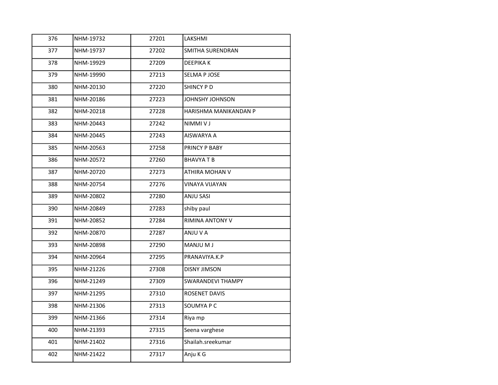| 376 | NHM-19732 | 27201 | LAKSHMI               |
|-----|-----------|-------|-----------------------|
| 377 | NHM-19737 | 27202 | SMITHA SURENDRAN      |
| 378 | NHM-19929 | 27209 | DEEPIKA K             |
| 379 | NHM-19990 | 27213 | <b>SELMA P JOSE</b>   |
| 380 | NHM-20130 | 27220 | SHINCY P D            |
| 381 | NHM-20186 | 27223 | JOHNSHY JOHNSON       |
| 382 | NHM-20218 | 27228 | HARISHMA MANIKANDAN P |
| 383 | NHM-20443 | 27242 | <b>NIMMIVJ</b>        |
| 384 | NHM-20445 | 27243 | AISWARYA A            |
| 385 | NHM-20563 | 27258 | PRINCY P BABY         |
| 386 | NHM-20572 | 27260 | <b>BHAVYATB</b>       |
| 387 | NHM-20720 | 27273 | ATHIRA MOHAN V        |
| 388 | NHM-20754 | 27276 | VINAYA VIJAYAN        |
| 389 | NHM-20802 | 27280 | <b>ANJU SASI</b>      |
| 390 | NHM-20849 | 27283 | shiby paul            |
| 391 | NHM-20852 | 27284 | RIMINA ANTONY V       |
| 392 | NHM-20870 | 27287 | ANJU V A              |
| 393 | NHM-20898 | 27290 | MANJU M J             |
| 394 | NHM-20964 | 27295 | PRANAVIYA.K.P         |
| 395 | NHM-21226 | 27308 | <b>DISNY JIMSON</b>   |
| 396 | NHM-21249 | 27309 | SWARANDEVI THAMPY     |
| 397 | NHM-21295 | 27310 | ROSENET DAVIS         |
| 398 | NHM-21306 | 27313 | SOUMYA P C            |
| 399 | NHM-21366 | 27314 | Riya mp               |
| 400 | NHM-21393 | 27315 | Seena varghese        |
| 401 | NHM-21402 | 27316 | Shailah.sreekumar     |
| 402 | NHM-21422 | 27317 | Anju K G              |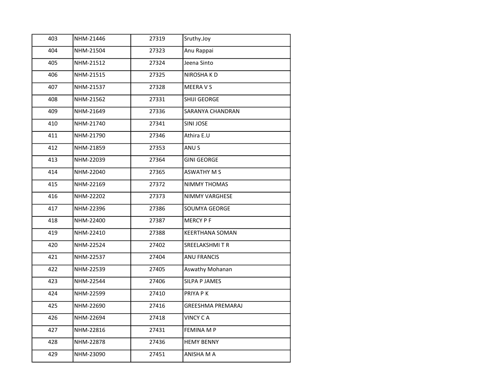| 403 | NHM-21446 | 27319 | Sruthy.Joy               |
|-----|-----------|-------|--------------------------|
| 404 | NHM-21504 | 27323 | Anu Rappai               |
| 405 | NHM-21512 | 27324 | Jeena Sinto              |
| 406 | NHM-21515 | 27325 | NIROSHA K D              |
| 407 | NHM-21537 | 27328 | MEERA V S                |
| 408 | NHM-21562 | 27331 | SHIJI GEORGE             |
| 409 | NHM-21649 | 27336 | SARANYA CHANDRAN         |
| 410 | NHM-21740 | 27341 | SINI JOSE                |
| 411 | NHM-21790 | 27346 | Athira E.U               |
| 412 | NHM-21859 | 27353 | ANU S                    |
| 413 | NHM-22039 | 27364 | <b>GINI GEORGE</b>       |
| 414 | NHM-22040 | 27365 | ASWATHY M S              |
| 415 | NHM-22169 | 27372 | <b>NIMMY THOMAS</b>      |
| 416 | NHM-22202 | 27373 | NIMMY VARGHESE           |
| 417 | NHM-22396 | 27386 | SOUMYA GEORGE            |
| 418 | NHM-22400 | 27387 | <b>MERCY PF</b>          |
| 419 | NHM-22410 | 27388 | <b>KEERTHANA SOMAN</b>   |
| 420 | NHM-22524 | 27402 | SREELAKSHMITR            |
| 421 | NHM-22537 | 27404 | <b>ANU FRANCIS</b>       |
| 422 | NHM-22539 | 27405 | Aswathy Mohanan          |
| 423 | NHM-22544 | 27406 | <b>SILPA P JAMES</b>     |
| 424 | NHM-22599 | 27410 | PRIYA P K                |
| 425 | NHM-22690 | 27416 | <b>GREESHMA PREMARAJ</b> |
| 426 | NHM-22694 | 27418 | <b>VINCY CA</b>          |
| 427 | NHM-22816 | 27431 | FEMINA M P               |
| 428 | NHM-22878 | 27436 | <b>HEMY BENNY</b>        |
| 429 | NHM-23090 | 27451 | ANISHA M A               |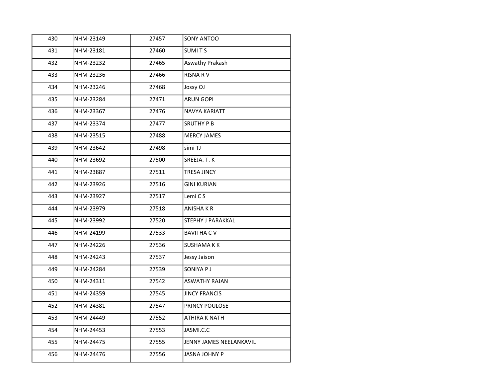| 430 | NHM-23149 | 27457 | SONY ANTOO              |
|-----|-----------|-------|-------------------------|
| 431 | NHM-23181 | 27460 | SUMITS                  |
| 432 | NHM-23232 | 27465 | Aswathy Prakash         |
| 433 | NHM-23236 | 27466 | <b>RISNA RV</b>         |
| 434 | NHM-23246 | 27468 | Jossy OJ                |
| 435 | NHM-23284 | 27471 | <b>ARUN GOPI</b>        |
| 436 | NHM-23367 | 27476 | <b>NAVYA KARIATT</b>    |
| 437 | NHM-23374 | 27477 | <b>SRUTHY P B</b>       |
| 438 | NHM-23515 | 27488 | <b>MERCY JAMES</b>      |
| 439 | NHM-23642 | 27498 | simi TJ                 |
| 440 | NHM-23692 | 27500 | SREEJA. T. K            |
| 441 | NHM-23887 | 27511 | <b>TRESA JINCY</b>      |
| 442 | NHM-23926 | 27516 | <b>GINI KURIAN</b>      |
| 443 | NHM-23927 | 27517 | Lemi C S                |
| 444 | NHM-23979 | 27518 | ANISHA K R              |
| 445 | NHM-23992 | 27520 | STEPHY J PARAKKAL       |
| 446 | NHM-24199 | 27533 | <b>BAVITHA C V</b>      |
| 447 | NHM-24226 | 27536 | <b>SUSHAMA K K</b>      |
| 448 | NHM-24243 | 27537 | Jessy Jaison            |
| 449 | NHM-24284 | 27539 | SONIYA P J              |
| 450 | NHM-24311 | 27542 | <b>ASWATHY RAJAN</b>    |
| 451 | NHM-24359 | 27545 | <b>JINCY FRANCIS</b>    |
| 452 | NHM-24381 | 27547 | PRINCY POULOSE          |
| 453 | NHM-24449 | 27552 | ATHIRA K NATH           |
| 454 | NHM-24453 | 27553 | JASMI.C.C               |
| 455 | NHM-24475 | 27555 | JENNY JAMES NEELANKAVIL |
| 456 | NHM-24476 | 27556 | JASNA JOHNY P           |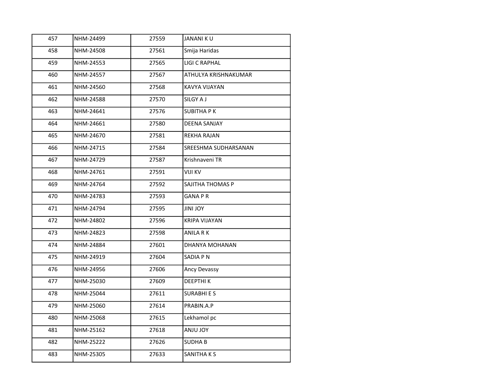| 457 | NHM-24499 | 27559 | <b>JANANI KU</b>     |
|-----|-----------|-------|----------------------|
| 458 | NHM-24508 | 27561 | Smija Haridas        |
| 459 | NHM-24553 | 27565 | LIGI C RAPHAL        |
| 460 | NHM-24557 | 27567 | ATHULYA KRISHNAKUMAR |
| 461 | NHM-24560 | 27568 | KAVYA VIJAYAN        |
| 462 | NHM-24588 | 27570 | SILGY A J            |
| 463 | NHM-24641 | 27576 | <b>SUBITHA PK</b>    |
| 464 | NHM-24661 | 27580 | DEENA SANJAY         |
| 465 | NHM-24670 | 27581 | REKHA RAJAN          |
| 466 | NHM-24715 | 27584 | SREESHMA SUDHARSANAN |
| 467 | NHM-24729 | 27587 | Krishnaveni TR       |
| 468 | NHM-24761 | 27591 | VIJI KV              |
| 469 | NHM-24764 | 27592 | SAJITHA THOMAS P     |
| 470 | NHM-24783 | 27593 | <b>GANA PR</b>       |
| 471 | NHM-24794 | 27595 | <b>YOL INIL</b>      |
| 472 | NHM-24802 | 27596 | KRIPA VIJAYAN        |
| 473 | NHM-24823 | 27598 | ANILA R K            |
| 474 | NHM-24884 | 27601 | DHANYA MOHANAN       |
| 475 | NHM-24919 | 27604 | SADIA PN             |
| 476 | NHM-24956 | 27606 | Ancy Devassy         |
| 477 | NHM-25030 | 27609 | <b>DEEPTHIK</b>      |
| 478 | NHM-25044 | 27611 | <b>SURABHIES</b>     |
| 479 | NHM-25060 | 27614 | PRABIN.A.P           |
| 480 | NHM-25068 | 27615 | Lekhamol pc          |
| 481 | NHM-25162 | 27618 | YOL UINA             |
| 482 | NHM-25222 | 27626 | <b>SUDHAB</b>        |
| 483 | NHM-25305 | 27633 | SANITHA K S          |
|     |           |       |                      |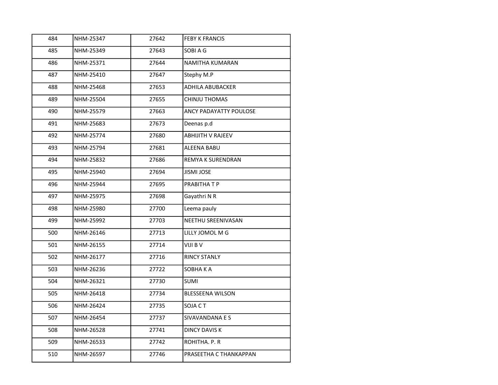| 484 | NHM-25347 | 27642 | <b>FEBY K FRANCIS</b>    |
|-----|-----------|-------|--------------------------|
| 485 | NHM-25349 | 27643 | SOBI A G                 |
| 486 | NHM-25371 | 27644 | NAMITHA KUMARAN          |
| 487 | NHM-25410 | 27647 | Stephy M.P               |
| 488 | NHM-25468 | 27653 | <b>ADHILA ABUBACKER</b>  |
| 489 | NHM-25504 | 27655 | CHINJU THOMAS            |
| 490 | NHM-25579 | 27663 | ANCY PADAYATTY POULOSE   |
| 491 | NHM-25683 | 27673 | Deenas p.d               |
| 492 | NHM-25774 | 27680 | <b>ABHIJITH V RAJEEV</b> |
| 493 | NHM-25794 | 27681 | ALEENA BABU              |
| 494 | NHM-25832 | 27686 | REMYA K SURENDRAN        |
| 495 | NHM-25940 | 27694 | <b>JISMI JOSE</b>        |
| 496 | NHM-25944 | 27695 | PRABITHA T P             |
| 497 | NHM-25975 | 27698 | Gayathri N R             |
| 498 | NHM-25980 | 27700 | Leema pauly              |
| 499 | NHM-25992 | 27703 | NEETHU SREENIVASAN       |
| 500 | NHM-26146 | 27713 | LILLY JOMOL M G          |
| 501 | NHM-26155 | 27714 | VIJI B V                 |
| 502 | NHM-26177 | 27716 | <b>RINCY STANLY</b>      |
| 503 | NHM-26236 | 27722 | SOBHAKA                  |
| 504 | NHM-26321 | 27730 | <b>SUMI</b>              |
| 505 | NHM-26418 | 27734 | BLESSEENA WILSON         |
| 506 | NHM-26424 | 27735 | SOJA CT                  |
| 507 | NHM-26454 | 27737 | SIVAVANDANA E S          |
| 508 | NHM-26528 | 27741 | <b>DINCY DAVIS K</b>     |
| 509 | NHM-26533 | 27742 | ROHITHA. P. R            |
| 510 | NHM-26597 | 27746 | PRASEETHA C THANKAPPAN   |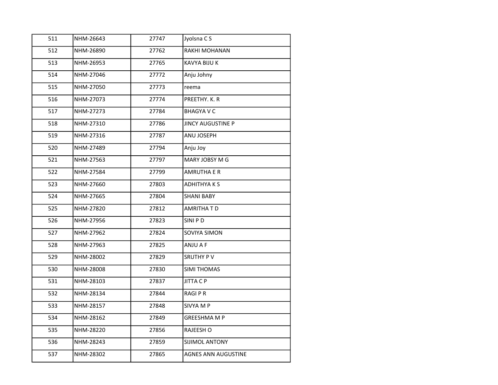| 511 | NHM-26643 | 27747 | Jyolsna CS               |
|-----|-----------|-------|--------------------------|
| 512 | NHM-26890 | 27762 | RAKHI MOHANAN            |
| 513 | NHM-26953 | 27765 | KAVYA BIJU K             |
| 514 | NHM-27046 | 27772 | Anju Johny               |
| 515 | NHM-27050 | 27773 | reema                    |
| 516 | NHM-27073 | 27774 | PREETHY, K. R.           |
| 517 | NHM-27273 | 27784 | <b>BHAGYA V C</b>        |
| 518 | NHM-27310 | 27786 | <b>JINCY AUGUSTINE P</b> |
| 519 | NHM-27316 | 27787 | ANU JOSEPH               |
| 520 | NHM-27489 | 27794 | Anju Joy                 |
| 521 | NHM-27563 | 27797 | MARY JOBSY M G           |
| 522 | NHM-27584 | 27799 | AMRUTHA E R              |
| 523 | NHM-27660 | 27803 | ADHITHYA K S             |
| 524 | NHM-27665 | 27804 | <b>SHANI BABY</b>        |
| 525 | NHM-27820 | 27812 | AMRITHA T D              |
| 526 | NHM-27956 | 27823 | SINI P D                 |
| 527 | NHM-27962 | 27824 | SOVIYA SIMON             |
| 528 | NHM-27963 | 27825 | ANJU A F                 |
| 529 | NHM-28002 | 27829 | <b>SRUTHY PV</b>         |
| 530 | NHM-28008 | 27830 | SIMI THOMAS              |
| 531 | NHM-28103 | 27837 | JITTA C P                |
| 532 | NHM-28134 | 27844 | RAGI P R                 |
| 533 | NHM-28157 | 27848 | SIVYA M P                |
| 534 | NHM-28162 | 27849 | <b>GREESHMA M P</b>      |
| 535 | NHM-28220 | 27856 | RAJEESH O                |
| 536 | NHM-28243 | 27859 | SIJIMOL ANTONY           |
| 537 | NHM-28302 | 27865 | AGNES ANN AUGUSTINE      |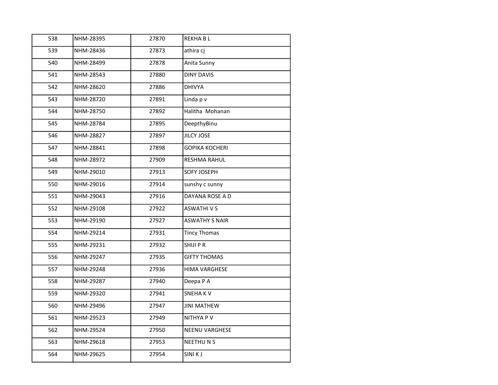| 538 | NHM-28395 | 27870 | <b>REKHABL</b>        |
|-----|-----------|-------|-----------------------|
| 539 | NHM-28436 | 27873 | athira cj             |
| 540 | NHM-28499 | 27878 | Anita Sunny           |
| 541 | NHM-28543 | 27880 | <b>DINY DAVIS</b>     |
| 542 | NHM-28620 | 27886 | <b>DHIVYA</b>         |
| 543 | NHM-28720 | 27891 | Linda p v             |
| 544 | NHM-28750 | 27892 | Halitha Mohanan       |
| 545 | NHM-28784 | 27895 | DeepthyBinu           |
| 546 | NHM-28827 | 27897 | JILCY JOSE            |
| 547 | NHM-28841 | 27898 | <b>GOPIKA KOCHERI</b> |
| 548 | NHM-28972 | 27909 | RESHMA RAHUL          |
| 549 | NHM-29010 | 27913 | SOFY JOSEPH           |
| 550 | NHM-29016 | 27914 | sunshy c sunny        |
| 551 | NHM-29043 | 27916 | DAYANA ROSE A D       |
| 552 | NHM-29108 | 27922 | <b>ASWATHIVS</b>      |
| 553 | NHM-29190 | 27927 | <b>ASWATHY S NAIR</b> |
| 554 | NHM-29214 | 27931 | <b>Tincy Thomas</b>   |
| 555 | NHM-29231 | 27932 | SHIJI P R             |
| 556 | NHM-29247 | 27935 | <b>GIFTY THOMAS</b>   |
| 557 | NHM-29248 | 27936 | <b>HIMA VARGHESE</b>  |
| 558 | NHM-29287 | 27940 | Deepa P A             |
| 559 | NHM-29320 | 27941 | SNEHA K V             |
| 560 | NHM-29496 | 27947 | <b>JINI MATHEW</b>    |
| 561 | NHM-29523 | 27949 | NITHYA P V            |
| 562 | NHM-29524 | 27950 | <b>NEENU VARGHESE</b> |
| 563 | NHM-29618 | 27953 | <b>NEETHUNS</b>       |
| 564 | NHM-29625 | 27954 | SINI K J              |